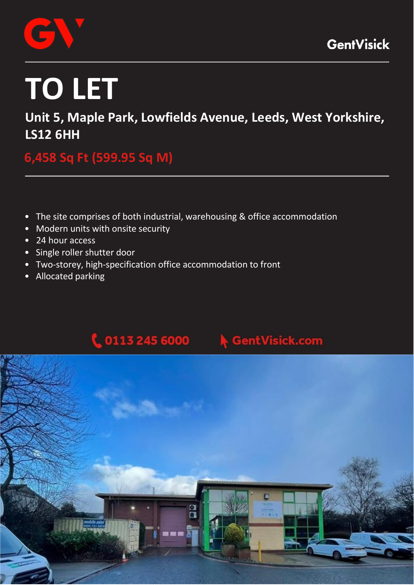

# **TO LET**

**Unit 5, Maple Park, Lowfields Avenue, Leeds, West Yorkshire, LS12 6HH**

**6,458 Sq Ft (599.95 Sq M)** 

- The site comprises of both industrial, warehousing & office accommodation
- Modern units with onsite security
- 24 hour access
- Single roller shutter door
- Two‐storey, high‐specification office accommodation to front
- Allocated parking



# **GentVisick.com**